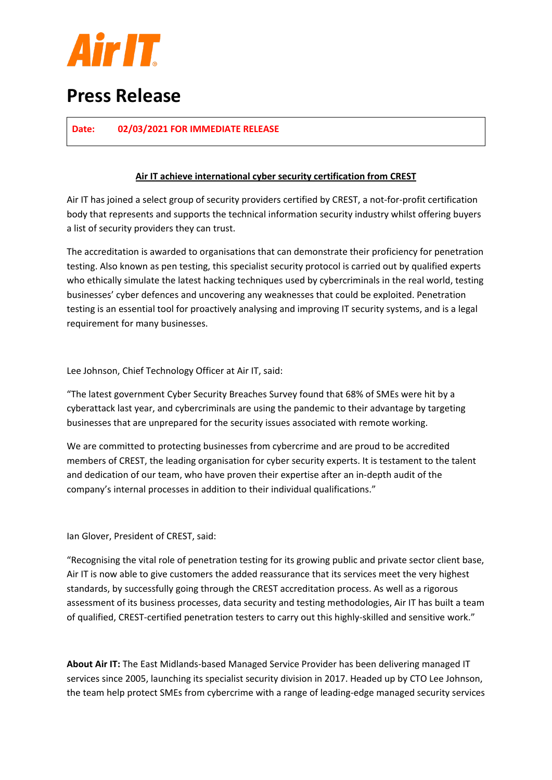

## **Press Release**

**Date: 02/03/2021 FOR IMMEDIATE RELEASE**

#### **Air IT achieve international cyber security certification from CREST**

Air IT has joined a select group of security providers certified by CREST, a not-for-profit certification body that represents and supports the technical information security industry whilst offering buyers a list of security providers they can trust.

The accreditation is awarded to organisations that can demonstrate their proficiency for penetration testing. Also known as pen testing, this specialist security protocol is carried out by qualified experts who ethically simulate the latest hacking techniques used by cybercriminals in the real world, testing businesses' cyber defences and uncovering any weaknesses that could be exploited. Penetration testing is an essential tool for proactively analysing and improving IT security systems, and is a legal requirement for many businesses.

Lee Johnson, Chief Technology Officer at Air IT, said:

"The latest government Cyber Security Breaches Survey found that 68% of SMEs were hit by a cyberattack last year, and cybercriminals are using the pandemic to their advantage by targeting businesses that are unprepared for the security issues associated with remote working.

We are committed to protecting businesses from cybercrime and are proud to be accredited members of CREST, the leading organisation for cyber security experts. It is testament to the talent and dedication of our team, who have proven their expertise after an in-depth audit of the company's internal processes in addition to their individual qualifications."

Ian Glover, President of CREST, said:

"Recognising the vital role of penetration testing for its growing public and private sector client base, Air IT is now able to give customers the added reassurance that its services meet the very highest standards, by successfully going through the CREST accreditation process. As well as a rigorous assessment of its business processes, data security and testing methodologies, Air IT has built a team of qualified, CREST-certified penetration testers to carry out this highly-skilled and sensitive work."

**About Air IT:** The East Midlands-based Managed Service Provider has been delivering managed IT services since 2005, launching its specialist security division in 2017. Headed up by CTO Lee Johnson, the team help protect SMEs from cybercrime with a range of leading-edge managed security services